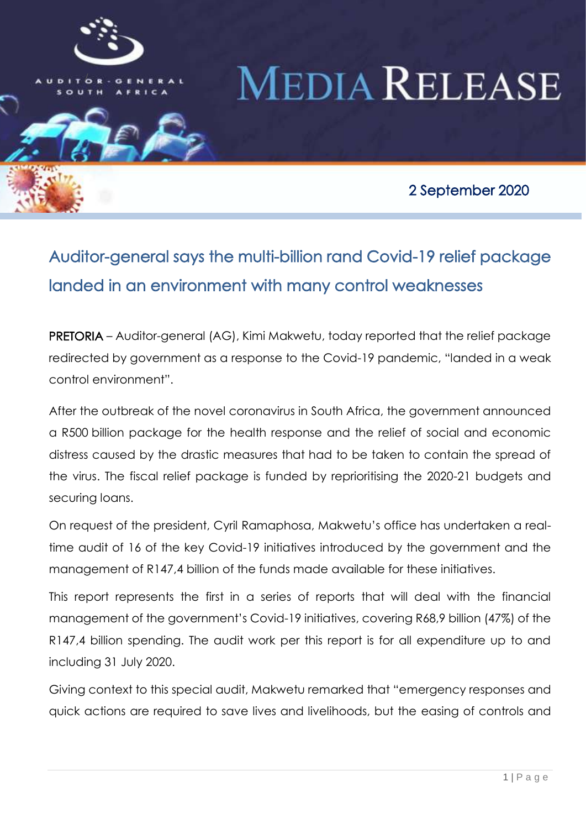

# **MEDIA RELEASE**

2 September 2020

## Auditor-general says the multi-billion rand Covid-19 relief package landed in an environment with many control weaknesses

i

PRETORIA – Auditor-general (AG), Kimi Makwetu, today reported that the relief package redirected by government as a response to the Covid-19 pandemic, "landed in a weak control environment".

After the outbreak of the novel coronavirus in South Africa, the government announced a R500 billion package for the health response and the relief of social and economic distress caused by the drastic measures that had to be taken to contain the spread of the virus. The fiscal relief package is funded by reprioritising the 2020-21 budgets and securing loans.

On request of the president, Cyril Ramaphosa, Makwetu's office has undertaken a realtime audit of 16 of the key Covid-19 initiatives introduced by the government and the management of R147,4 billion of the funds made available for these initiatives.

This report represents the first in a series of reports that will deal with the financial management of the government's Covid-19 initiatives, covering R68,9 billion (47%) of the R147,4 billion spending. The audit work per this report is for all expenditure up to and including 31 July 2020.

Giving context to this special audit, Makwetu remarked that "emergency responses and quick actions are required to save lives and livelihoods, but the easing of controls and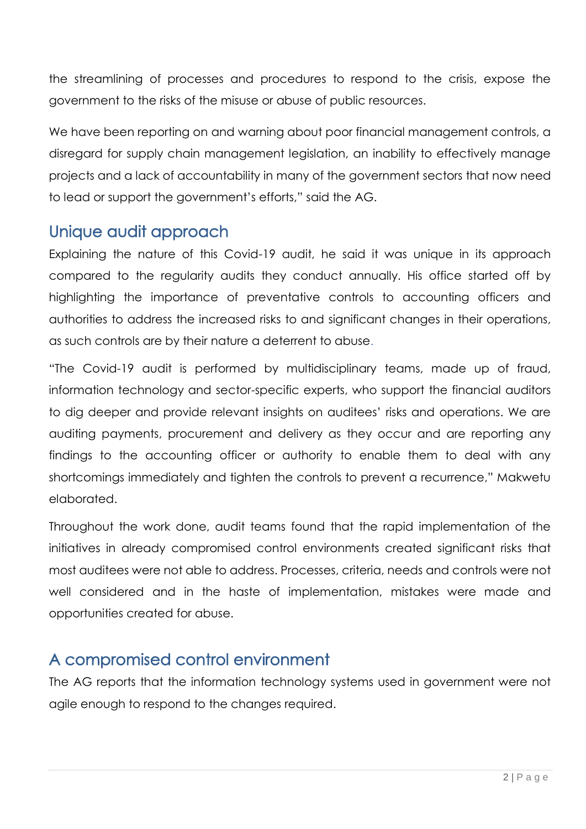the streamlining of processes and procedures to respond to the crisis, expose the government to the risks of the misuse or abuse of public resources.

We have been reporting on and warning about poor financial management controls, a disregard for supply chain management legislation, an inability to effectively manage projects and a lack of accountability in many of the government sectors that now need to lead or support the government's efforts," said the AG.

## Unique audit approach

Explaining the nature of this Covid-19 audit, he said it was unique in its approach compared to the regularity audits they conduct annually. His office started off by highlighting the importance of preventative controls to accounting officers and authorities to address the increased risks to and significant changes in their operations, as such controls are by their nature a deterrent to abuse.

"The Covid-19 audit is performed by multidisciplinary teams, made up of fraud, information technology and sector-specific experts, who support the financial auditors to dig deeper and provide relevant insights on auditees' risks and operations. We are auditing payments, procurement and delivery as they occur and are reporting any findings to the accounting officer or authority to enable them to deal with any shortcomings immediately and tighten the controls to prevent a recurrence," Makwetu elaborated.

Throughout the work done, audit teams found that the rapid implementation of the initiatives in already compromised control environments created significant risks that most auditees were not able to address. Processes, criteria, needs and controls were not well considered and in the haste of implementation, mistakes were made and opportunities created for abuse.

## A compromised control environment

The AG reports that the information technology systems used in government were not agile enough to respond to the changes required.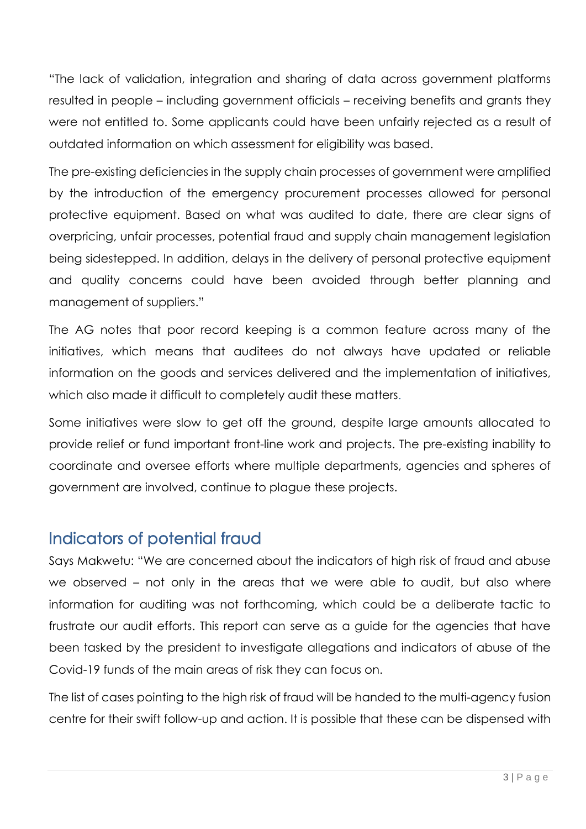"The lack of validation, integration and sharing of data across government platforms resulted in people – including government officials – receiving benefits and grants they were not entitled to. Some applicants could have been unfairly rejected as a result of outdated information on which assessment for eligibility was based.

The pre-existing deficiencies in the supply chain processes of government were amplified by the introduction of the emergency procurement processes allowed for personal protective equipment. Based on what was audited to date, there are clear signs of overpricing, unfair processes, potential fraud and supply chain management legislation being sidestepped. In addition, delays in the delivery of personal protective equipment and quality concerns could have been avoided through better planning and management of suppliers."

The AG notes that poor record keeping is a common feature across many of the initiatives, which means that auditees do not always have updated or reliable information on the goods and services delivered and the implementation of initiatives, which also made it difficult to completely audit these matters.

Some initiatives were slow to get off the ground, despite large amounts allocated to provide relief or fund important front-line work and projects. The pre-existing inability to coordinate and oversee efforts where multiple departments, agencies and spheres of government are involved, continue to plague these projects.

## Indicators of potential fraud

Says Makwetu: "We are concerned about the indicators of high risk of fraud and abuse we observed – not only in the areas that we were able to audit, but also where information for auditing was not forthcoming, which could be a deliberate tactic to frustrate our audit efforts. This report can serve as a guide for the agencies that have been tasked by the president to investigate allegations and indicators of abuse of the Covid-19 funds of the main areas of risk they can focus on.

The list of cases pointing to the high risk of fraud will be handed to the multi-agency fusion centre for their swift follow-up and action. It is possible that these can be dispensed with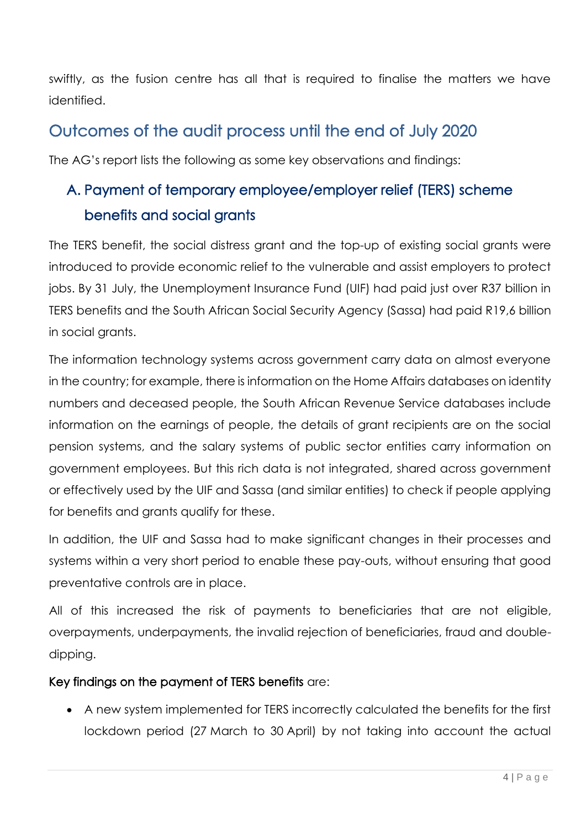swiftly, as the fusion centre has all that is required to finalise the matters we have identified.

## Outcomes of the audit process until the end of July 2020

The AG's report lists the following as some key observations and findings:

## A. Payment of temporary employee/employer relief (TERS) scheme benefits and social grants

The TERS benefit, the social distress grant and the top-up of existing social grants were introduced to provide economic relief to the vulnerable and assist employers to protect jobs. By 31 July, the Unemployment Insurance Fund (UIF) had paid just over R37 billion in TERS benefits and the South African Social Security Agency (Sassa) had paid R19,6 billion in social grants.

The information technology systems across government carry data on almost everyone in the country; for example, there is information on the Home Affairs databases on identity numbers and deceased people, the South African Revenue Service databases include information on the earnings of people, the details of grant recipients are on the social pension systems, and the salary systems of public sector entities carry information on government employees. But this rich data is not integrated, shared across government or effectively used by the UIF and Sassa (and similar entities) to check if people applying for benefits and grants qualify for these.

In addition, the UIF and Sassa had to make significant changes in their processes and systems within a very short period to enable these pay-outs, without ensuring that good preventative controls are in place.

All of this increased the risk of payments to beneficiaries that are not eligible, overpayments, underpayments, the invalid rejection of beneficiaries, fraud and doubledipping.

#### Key findings on the payment of TERS benefits are:

 A new system implemented for TERS incorrectly calculated the benefits for the first lockdown period (27 March to 30 April) by not taking into account the actual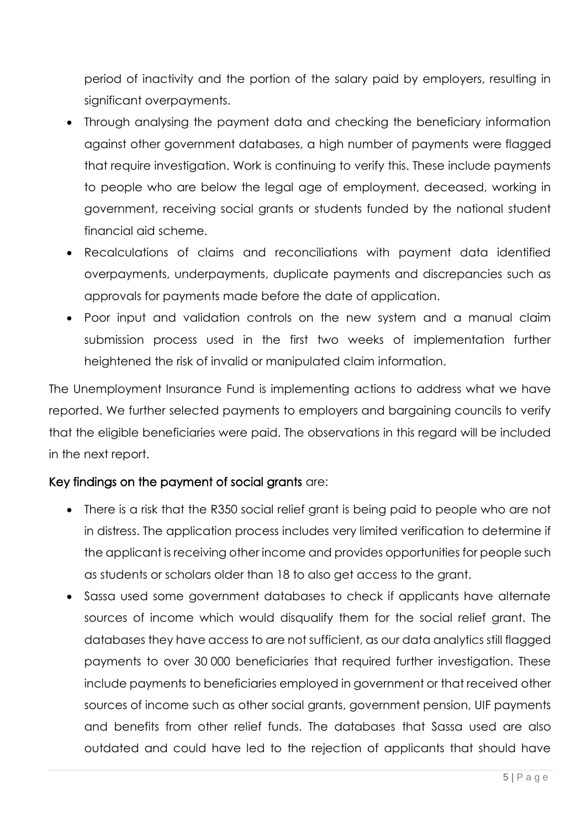period of inactivity and the portion of the salary paid by employers, resulting in significant overpayments.

- Through analysing the payment data and checking the beneficiary information against other government databases, a high number of payments were flagged that require investigation. Work is continuing to verify this. These include payments to people who are below the legal age of employment, deceased, working in government, receiving social grants or students funded by the national student financial aid scheme.
- Recalculations of claims and reconciliations with payment data identified overpayments, underpayments, duplicate payments and discrepancies such as approvals for payments made before the date of application.
- Poor input and validation controls on the new system and a manual claim submission process used in the first two weeks of implementation further heightened the risk of invalid or manipulated claim information.

The Unemployment Insurance Fund is implementing actions to address what we have reported. We further selected payments to employers and bargaining councils to verify that the eligible beneficiaries were paid. The observations in this regard will be included in the next report.

#### Key findings on the payment of social grants are:

- There is a risk that the R350 social relief grant is being paid to people who are not in distress. The application process includes very limited verification to determine if the applicant is receiving other income and provides opportunities for people such as students or scholars older than 18 to also get access to the grant.
- Sassa used some government databases to check if applicants have alternate sources of income which would disqualify them for the social relief grant. The databases they have access to are not sufficient, as our data analytics still flagged payments to over 30 000 beneficiaries that required further investigation. These include payments to beneficiaries employed in government or that received other sources of income such as other social grants, government pension, UIF payments and benefits from other relief funds. The databases that Sassa used are also outdated and could have led to the rejection of applicants that should have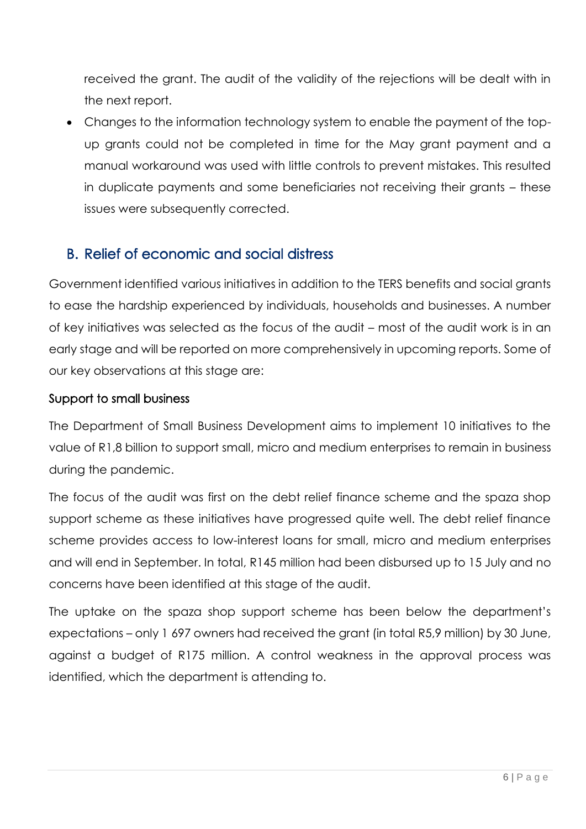received the grant. The audit of the validity of the rejections will be dealt with in the next report.

 Changes to the information technology system to enable the payment of the topup grants could not be completed in time for the May grant payment and a manual workaround was used with little controls to prevent mistakes. This resulted in duplicate payments and some beneficiaries not receiving their grants – these issues were subsequently corrected.

## B. Relief of economic and social distress

Government identified various initiatives in addition to the TERS benefits and social grants to ease the hardship experienced by individuals, households and businesses. A number of key initiatives was selected as the focus of the audit – most of the audit work is in an early stage and will be reported on more comprehensively in upcoming reports. Some of our key observations at this stage are:

#### Support to small business

The Department of Small Business Development aims to implement 10 initiatives to the value of R1,8 billion to support small, micro and medium enterprises to remain in business during the pandemic.

The focus of the audit was first on the debt relief finance scheme and the spaza shop support scheme as these initiatives have progressed quite well. The debt relief finance scheme provides access to low-interest loans for small, micro and medium enterprises and will end in September. In total, R145 million had been disbursed up to 15 July and no concerns have been identified at this stage of the audit.

The uptake on the spaza shop support scheme has been below the department's expectations – only 1 697 owners had received the grant (in total R5,9 million) by 30 June, against a budget of R175 million. A control weakness in the approval process was identified, which the department is attending to.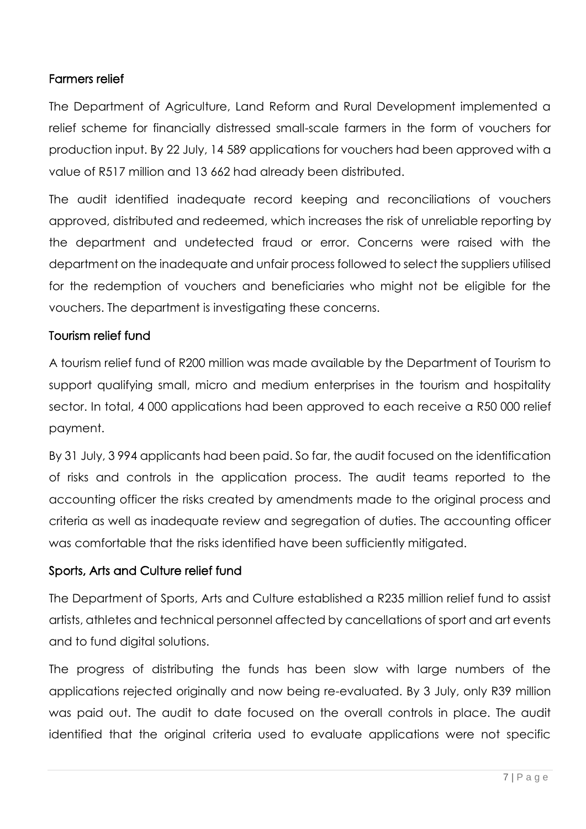#### Farmers relief

The Department of Agriculture, Land Reform and Rural Development implemented a relief scheme for financially distressed small-scale farmers in the form of vouchers for production input. By 22 July, 14 589 applications for vouchers had been approved with a value of R517 million and 13 662 had already been distributed.

The audit identified inadequate record keeping and reconciliations of vouchers approved, distributed and redeemed, which increases the risk of unreliable reporting by the department and undetected fraud or error. Concerns were raised with the department on the inadequate and unfair process followed to select the suppliers utilised for the redemption of vouchers and beneficiaries who might not be eligible for the vouchers. The department is investigating these concerns.

#### Tourism relief fund

A tourism relief fund of R200 million was made available by the Department of Tourism to support qualifying small, micro and medium enterprises in the tourism and hospitality sector. In total, 4 000 applications had been approved to each receive a R50 000 relief payment.

By 31 July, 3 994 applicants had been paid. So far, the audit focused on the identification of risks and controls in the application process. The audit teams reported to the accounting officer the risks created by amendments made to the original process and criteria as well as inadequate review and segregation of duties. The accounting officer was comfortable that the risks identified have been sufficiently mitigated.

#### Sports, Arts and Culture relief fund

The Department of Sports, Arts and Culture established a R235 million relief fund to assist artists, athletes and technical personnel affected by cancellations of sport and art events and to fund digital solutions.

The progress of distributing the funds has been slow with large numbers of the applications rejected originally and now being re-evaluated. By 3 July, only R39 million was paid out. The audit to date focused on the overall controls in place. The audit identified that the original criteria used to evaluate applications were not specific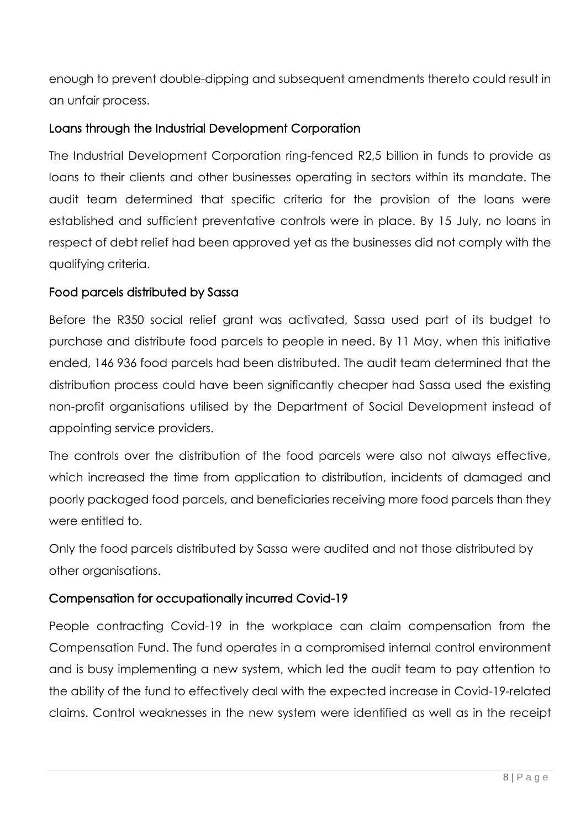enough to prevent double-dipping and subsequent amendments thereto could result in an unfair process.

#### Loans through the Industrial Development Corporation

The Industrial Development Corporation ring-fenced R2,5 billion in funds to provide as loans to their clients and other businesses operating in sectors within its mandate. The audit team determined that specific criteria for the provision of the loans were established and sufficient preventative controls were in place. By 15 July, no loans in respect of debt relief had been approved yet as the businesses did not comply with the qualifying criteria.

#### Food parcels distributed by Sassa

Before the R350 social relief grant was activated, Sassa used part of its budget to purchase and distribute food parcels to people in need. By 11 May, when this initiative ended, 146 936 food parcels had been distributed. The audit team determined that the distribution process could have been significantly cheaper had Sassa used the existing non-profit organisations utilised by the Department of Social Development instead of appointing service providers.

The controls over the distribution of the food parcels were also not always effective, which increased the time from application to distribution, incidents of damaged and poorly packaged food parcels, and beneficiaries receiving more food parcels than they were entitled to.

Only the food parcels distributed by Sassa were audited and not those distributed by other organisations.

#### Compensation for occupationally incurred Covid-19

People contracting Covid-19 in the workplace can claim compensation from the Compensation Fund. The fund operates in a compromised internal control environment and is busy implementing a new system, which led the audit team to pay attention to the ability of the fund to effectively deal with the expected increase in Covid-19-related claims. Control weaknesses in the new system were identified as well as in the receipt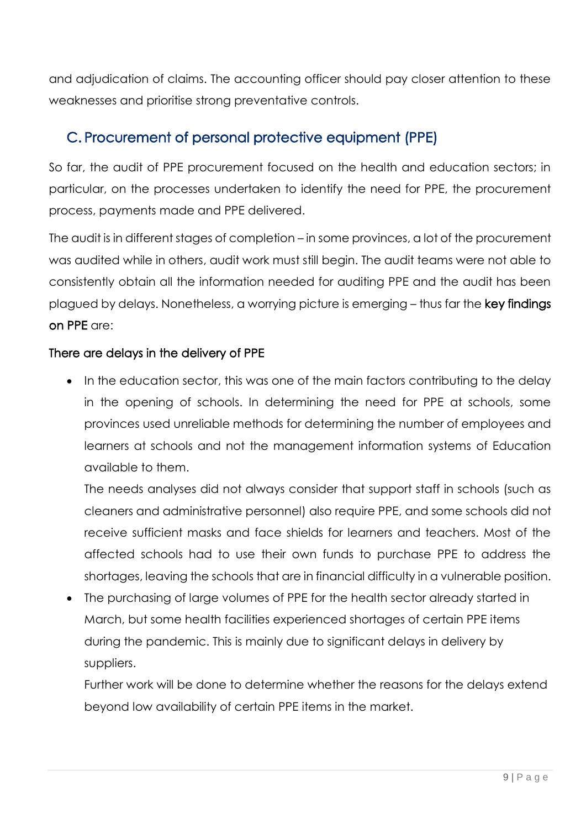and adjudication of claims. The accounting officer should pay closer attention to these weaknesses and prioritise strong preventative controls.

### C. Procurement of personal protective equipment (PPE)

So far, the audit of PPE procurement focused on the health and education sectors; in particular, on the processes undertaken to identify the need for PPE, the procurement process, payments made and PPE delivered.

The audit is in different stages of completion – in some provinces, a lot of the procurement was audited while in others, audit work must still begin. The audit teams were not able to consistently obtain all the information needed for auditing PPE and the audit has been plagued by delays. Nonetheless, a worrying picture is emerging – thus far the key findings on PPE are:

#### There are delays in the delivery of PPE

• In the education sector, this was one of the main factors contributing to the delay in the opening of schools. In determining the need for PPE at schools, some provinces used unreliable methods for determining the number of employees and learners at schools and not the management information systems of Education available to them.

The needs analyses did not always consider that support staff in schools (such as cleaners and administrative personnel) also require PPE, and some schools did not receive sufficient masks and face shields for learners and teachers. Most of the affected schools had to use their own funds to purchase PPE to address the shortages, leaving the schools that are in financial difficulty in a vulnerable position.

 The purchasing of large volumes of PPE for the health sector already started in March, but some health facilities experienced shortages of certain PPE items during the pandemic. This is mainly due to significant delays in delivery by suppliers.

Further work will be done to determine whether the reasons for the delays extend beyond low availability of certain PPE items in the market.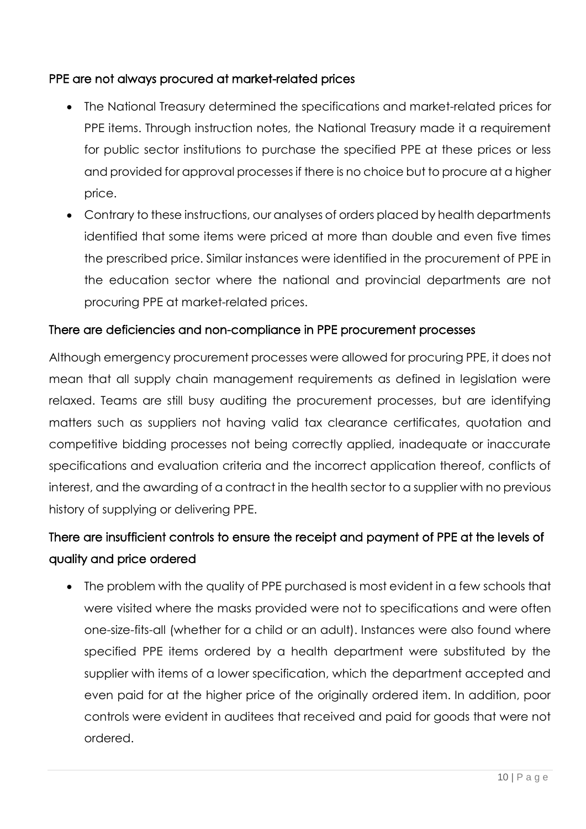#### PPE are not always procured at market-related prices

- The National Treasury determined the specifications and market-related prices for PPE items. Through instruction notes, the National Treasury made it a requirement for public sector institutions to purchase the specified PPE at these prices or less and provided for approval processes if there is no choice but to procure at a higher price.
- Contrary to these instructions, our analyses of orders placed by health departments identified that some items were priced at more than double and even five times the prescribed price. Similar instances were identified in the procurement of PPE in the education sector where the national and provincial departments are not procuring PPE at market-related prices.

#### There are deficiencies and non-compliance in PPE procurement processes

Although emergency procurement processes were allowed for procuring PPE, it does not mean that all supply chain management requirements as defined in legislation were relaxed. Teams are still busy auditing the procurement processes, but are identifying matters such as suppliers not having valid tax clearance certificates, quotation and competitive bidding processes not being correctly applied, inadequate or inaccurate specifications and evaluation criteria and the incorrect application thereof, conflicts of interest, and the awarding of a contract in the health sector to a supplier with no previous history of supplying or delivering PPE.

## There are insufficient controls to ensure the receipt and payment of PPE at the levels of quality and price ordered

 The problem with the quality of PPE purchased is most evident in a few schools that were visited where the masks provided were not to specifications and were often one-size-fits-all (whether for a child or an adult). Instances were also found where specified PPE items ordered by a health department were substituted by the supplier with items of a lower specification, which the department accepted and even paid for at the higher price of the originally ordered item. In addition, poor controls were evident in auditees that received and paid for goods that were not ordered.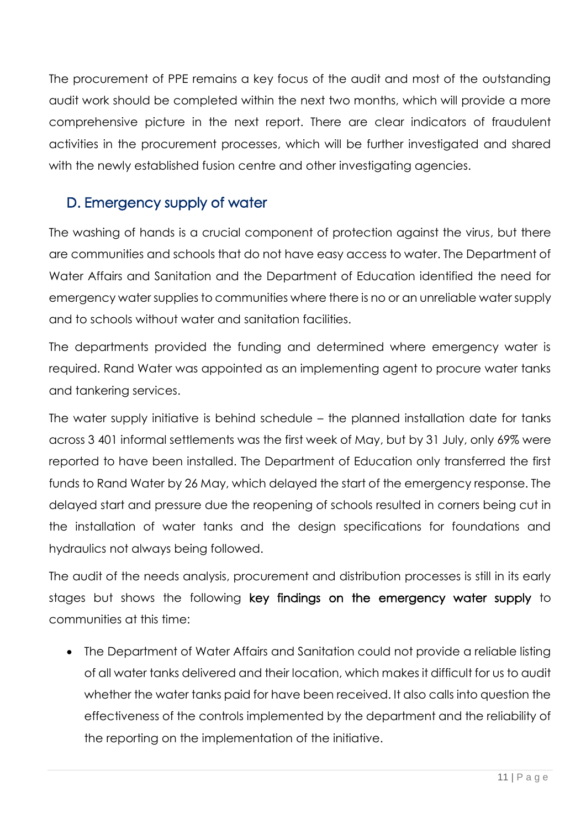The procurement of PPE remains a key focus of the audit and most of the outstanding audit work should be completed within the next two months, which will provide a more comprehensive picture in the next report. There are clear indicators of fraudulent activities in the procurement processes, which will be further investigated and shared with the newly established fusion centre and other investigating agencies.

## D. Emergency supply of water

The washing of hands is a crucial component of protection against the virus, but there are communities and schools that do not have easy access to water. The Department of Water Affairs and Sanitation and the Department of Education identified the need for emergency water supplies to communities where there is no or an unreliable water supply and to schools without water and sanitation facilities.

The departments provided the funding and determined where emergency water is required. Rand Water was appointed as an implementing agent to procure water tanks and tankering services.

The water supply initiative is behind schedule – the planned installation date for tanks across 3 401 informal settlements was the first week of May, but by 31 July, only 69% were reported to have been installed. The Department of Education only transferred the first funds to Rand Water by 26 May, which delayed the start of the emergency response. The delayed start and pressure due the reopening of schools resulted in corners being cut in the installation of water tanks and the design specifications for foundations and hydraulics not always being followed.

The audit of the needs analysis, procurement and distribution processes is still in its early stages but shows the following key findings on the emergency water supply to communities at this time:

 The Department of Water Affairs and Sanitation could not provide a reliable listing of all water tanks delivered and their location, which makes it difficult for us to audit whether the water tanks paid for have been received. It also calls into question the effectiveness of the controls implemented by the department and the reliability of the reporting on the implementation of the initiative.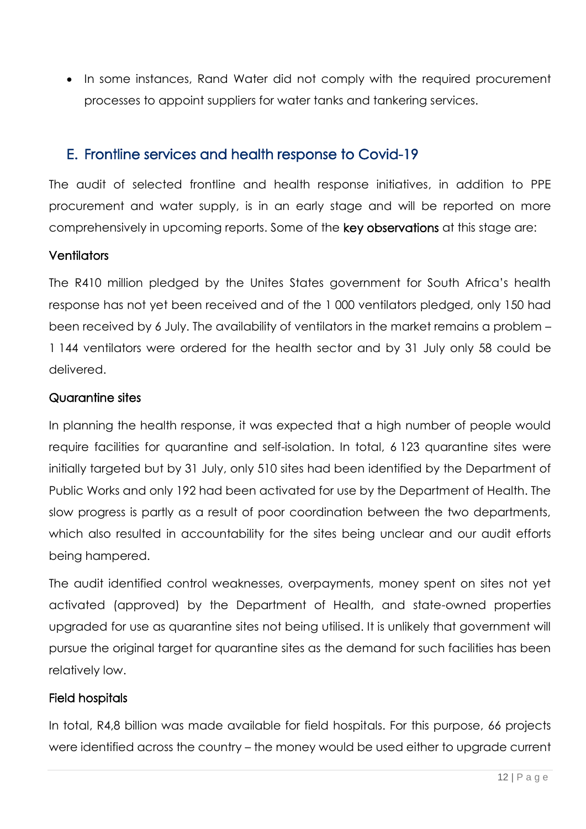• In some instances, Rand Water did not comply with the required procurement processes to appoint suppliers for water tanks and tankering services.

#### E. Frontline services and health response to Covid-19

The audit of selected frontline and health response initiatives, in addition to PPE procurement and water supply, is in an early stage and will be reported on more comprehensively in upcoming reports. Some of the key observations at this stage are:

#### **Ventilators**

The R410 million pledged by the Unites States government for South Africa's health response has not yet been received and of the 1 000 ventilators pledged, only 150 had been received by 6 July. The availability of ventilators in the market remains a problem – 1 144 ventilators were ordered for the health sector and by 31 July only 58 could be delivered.

#### Quarantine sites

In planning the health response, it was expected that a high number of people would require facilities for quarantine and self-isolation. In total, 6 123 quarantine sites were initially targeted but by 31 July, only 510 sites had been identified by the Department of Public Works and only 192 had been activated for use by the Department of Health. The slow progress is partly as a result of poor coordination between the two departments, which also resulted in accountability for the sites being unclear and our audit efforts being hampered.

The audit identified control weaknesses, overpayments, money spent on sites not yet activated (approved) by the Department of Health, and state-owned properties upgraded for use as quarantine sites not being utilised. It is unlikely that government will pursue the original target for quarantine sites as the demand for such facilities has been relatively low.

#### Field hospitals

In total, R4,8 billion was made available for field hospitals. For this purpose, 66 projects were identified across the country – the money would be used either to upgrade current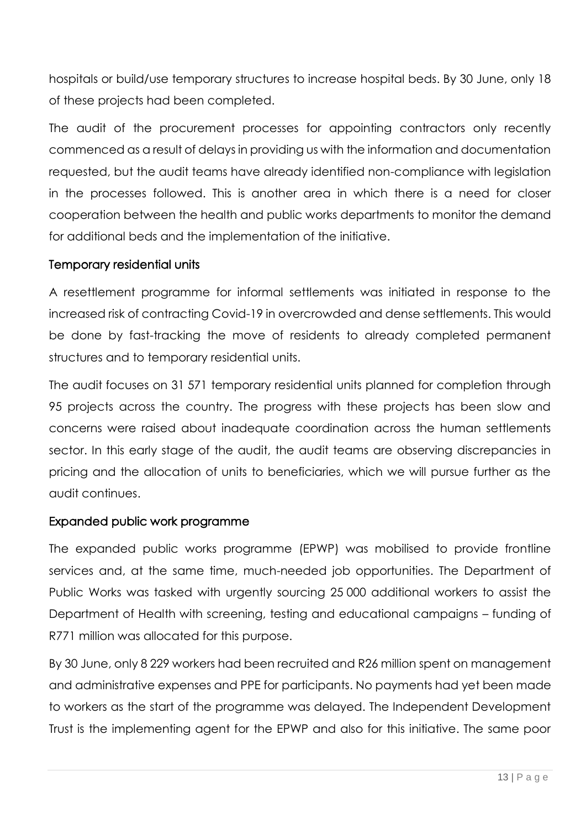hospitals or build/use temporary structures to increase hospital beds. By 30 June, only 18 of these projects had been completed.

The audit of the procurement processes for appointing contractors only recently commenced as a result of delays in providing us with the information and documentation requested, but the audit teams have already identified non-compliance with legislation in the processes followed. This is another area in which there is a need for closer cooperation between the health and public works departments to monitor the demand for additional beds and the implementation of the initiative.

#### Temporary residential units

A resettlement programme for informal settlements was initiated in response to the increased risk of contracting Covid-19 in overcrowded and dense settlements. This would be done by fast-tracking the move of residents to already completed permanent structures and to temporary residential units.

The audit focuses on 31 571 temporary residential units planned for completion through 95 projects across the country. The progress with these projects has been slow and concerns were raised about inadequate coordination across the human settlements sector. In this early stage of the audit, the audit teams are observing discrepancies in pricing and the allocation of units to beneficiaries, which we will pursue further as the audit continues.

#### Expanded public work programme

The expanded public works programme (EPWP) was mobilised to provide frontline services and, at the same time, much-needed job opportunities. The Department of Public Works was tasked with urgently sourcing 25 000 additional workers to assist the Department of Health with screening, testing and educational campaigns – funding of R771 million was allocated for this purpose.

By 30 June, only 8 229 workers had been recruited and R26 million spent on management and administrative expenses and PPE for participants. No payments had yet been made to workers as the start of the programme was delayed. The Independent Development Trust is the implementing agent for the EPWP and also for this initiative. The same poor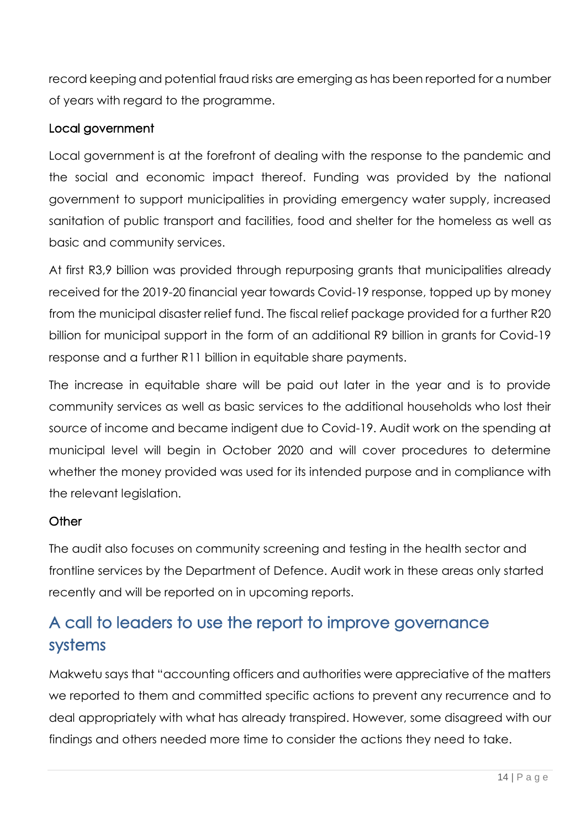record keeping and potential fraud risks are emerging as has been reported for a number of years with regard to the programme.

#### Local government

Local government is at the forefront of dealing with the response to the pandemic and the social and economic impact thereof. Funding was provided by the national government to support municipalities in providing emergency water supply, increased sanitation of public transport and facilities, food and shelter for the homeless as well as basic and community services.

At first R3,9 billion was provided through repurposing grants that municipalities already received for the 2019-20 financial year towards Covid-19 response, topped up by money from the municipal disaster relief fund. The fiscal relief package provided for a further R20 billion for municipal support in the form of an additional R9 billion in grants for Covid-19 response and a further R11 billion in equitable share payments.

The increase in equitable share will be paid out later in the year and is to provide community services as well as basic services to the additional households who lost their source of income and became indigent due to Covid-19. Audit work on the spending at municipal level will begin in October 2020 and will cover procedures to determine whether the money provided was used for its intended purpose and in compliance with the relevant legislation.

#### **Other**

The audit also focuses on community screening and testing in the health sector and frontline services by the Department of Defence. Audit work in these areas only started recently and will be reported on in upcoming reports.

## A call to leaders to use the report to improve governance systems

Makwetu says that "accounting officers and authorities were appreciative of the matters we reported to them and committed specific actions to prevent any recurrence and to deal appropriately with what has already transpired. However, some disagreed with our findings and others needed more time to consider the actions they need to take.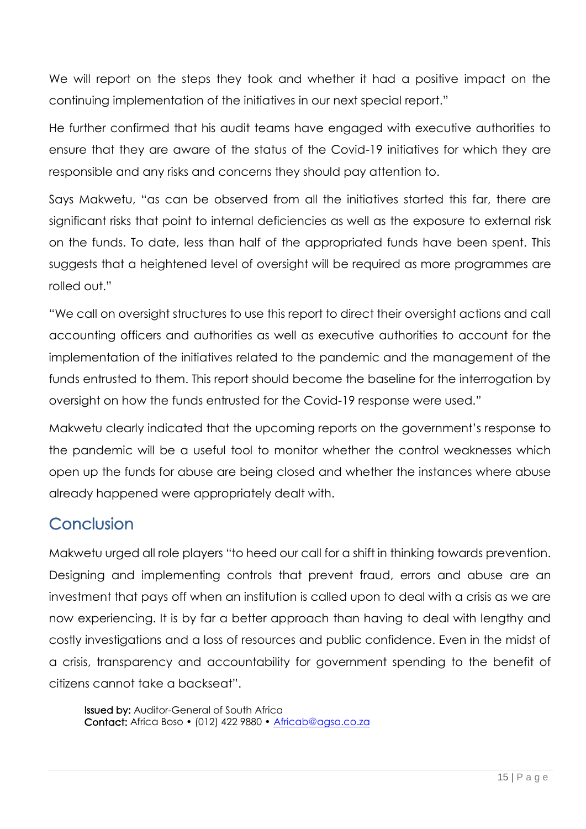We will report on the steps they took and whether it had a positive impact on the continuing implementation of the initiatives in our next special report."

He further confirmed that his audit teams have engaged with executive authorities to ensure that they are aware of the status of the Covid-19 initiatives for which they are responsible and any risks and concerns they should pay attention to.

Says Makwetu, "as can be observed from all the initiatives started this far, there are significant risks that point to internal deficiencies as well as the exposure to external risk on the funds. To date, less than half of the appropriated funds have been spent. This suggests that a heightened level of oversight will be required as more programmes are rolled out."

"We call on oversight structures to use this report to direct their oversight actions and call accounting officers and authorities as well as executive authorities to account for the implementation of the initiatives related to the pandemic and the management of the funds entrusted to them. This report should become the baseline for the interrogation by oversight on how the funds entrusted for the Covid-19 response were used."

Makwetu clearly indicated that the upcoming reports on the government's response to the pandemic will be a useful tool to monitor whether the control weaknesses which open up the funds for abuse are being closed and whether the instances where abuse already happened were appropriately dealt with.

## **Conclusion**

Makwetu urged all role players "to heed our call for a shift in thinking towards prevention. Designing and implementing controls that prevent fraud, errors and abuse are an investment that pays off when an institution is called upon to deal with a crisis as we are now experiencing. It is by far a better approach than having to deal with lengthy and costly investigations and a loss of resources and public confidence. Even in the midst of a crisis, transparency and accountability for government spending to the benefit of citizens cannot take a backseat".

Issued by: Auditor-General of South Africa Contact: Africa Boso • (012) 422 9880 • [Africab@agsa.co.za](mailto:Africab@agsa.co.za)